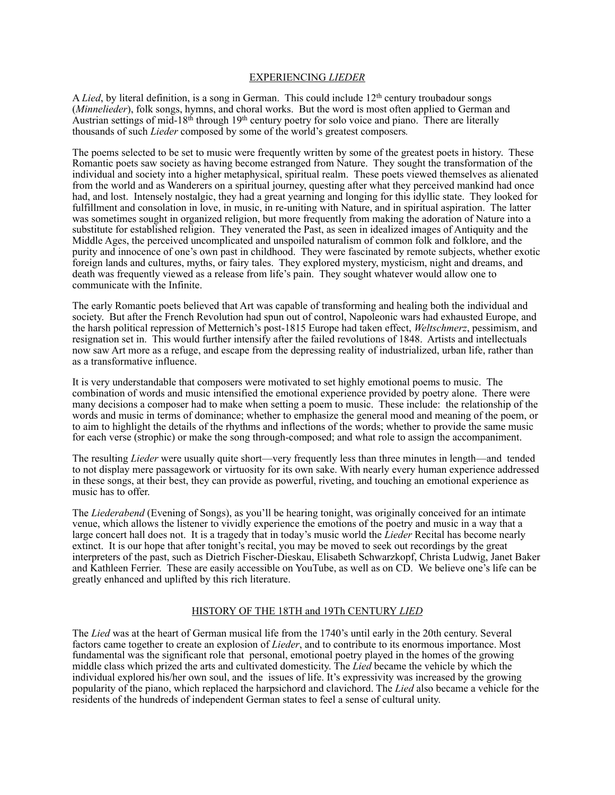## EXPERIENCING *LIEDER*

A *Lied*, by literal definition, is a song in German. This could include 12th century troubadour songs (*Minnelieder*), folk songs, hymns, and choral works. But the word is most often applied to German and Austrian settings of mid-18th through 19th century poetry for solo voice and piano. There are literally thousands of such *Lieder* composed by some of the world's greatest composers*.*

The poems selected to be set to music were frequently written by some of the greatest poets in history. These Romantic poets saw society as having become estranged from Nature. They sought the transformation of the individual and society into a higher metaphysical, spiritual realm. These poets viewed themselves as alienated from the world and as Wanderers on a spiritual journey, questing after what they perceived mankind had once had, and lost. Intensely nostalgic, they had a great yearning and longing for this idyllic state. They looked for fulfillment and consolation in love, in music, in re-uniting with Nature, and in spiritual aspiration. The latter was sometimes sought in organized religion, but more frequently from making the adoration of Nature into a substitute for established religion. They venerated the Past, as seen in idealized images of Antiquity and the Middle Ages, the perceived uncomplicated and unspoiled naturalism of common folk and folklore, and the purity and innocence of one's own past in childhood. They were fascinated by remote subjects, whether exotic foreign lands and cultures, myths, or fairy tales. They explored mystery, mysticism, night and dreams, and death was frequently viewed as a release from life's pain. They sought whatever would allow one to communicate with the Infinite.

The early Romantic poets believed that Art was capable of transforming and healing both the individual and society. But after the French Revolution had spun out of control, Napoleonic wars had exhausted Europe, and the harsh political repression of Metternich's post-1815 Europe had taken effect, *Weltschmerz*, pessimism, and resignation set in. This would further intensify after the failed revolutions of 1848. Artists and intellectuals now saw Art more as a refuge, and escape from the depressing reality of industrialized, urban life, rather than as a transformative influence.

It is very understandable that composers were motivated to set highly emotional poems to music. The combination of words and music intensified the emotional experience provided by poetry alone. There were many decisions a composer had to make when setting a poem to music. These include: the relationship of the words and music in terms of dominance; whether to emphasize the general mood and meaning of the poem, or to aim to highlight the details of the rhythms and inflections of the words; whether to provide the same music for each verse (strophic) or make the song through-composed; and what role to assign the accompaniment.

The resulting *Lieder* were usually quite short—very frequently less than three minutes in length—and tended to not display mere passagework or virtuosity for its own sake. With nearly every human experience addressed in these songs, at their best, they can provide as powerful, riveting, and touching an emotional experience as music has to offer.

The *Liederabend* (Evening of Songs), as you'll be hearing tonight, was originally conceived for an intimate venue, which allows the listener to vividly experience the emotions of the poetry and music in a way that a large concert hall does not. It is a tragedy that in today's music world the *Lieder* Recital has become nearly extinct. It is our hope that after tonight's recital, you may be moved to seek out recordings by the great interpreters of the past, such as Dietrich Fischer-Dieskau, Elisabeth Schwarzkopf, Christa Ludwig, Janet Baker and Kathleen Ferrier. These are easily accessible on YouTube, as well as on CD. We believe one's life can be greatly enhanced and uplifted by this rich literature.

## HISTORY OF THE 18TH and 19Th CENTURY *LIED*

The *Lied* was at the heart of German musical life from the 1740's until early in the 20th century. Several factors came together to create an explosion of *Lieder*, and to contribute to its enormous importance. Most fundamental was the significant role that personal, emotional poetry played in the homes of the growing middle class which prized the arts and cultivated domesticity. The *Lied* became the vehicle by which the individual explored his/her own soul, and the issues of life. It's expressivity was increased by the growing popularity of the piano, which replaced the harpsichord and clavichord. The *Lied* also became a vehicle for the residents of the hundreds of independent German states to feel a sense of cultural unity.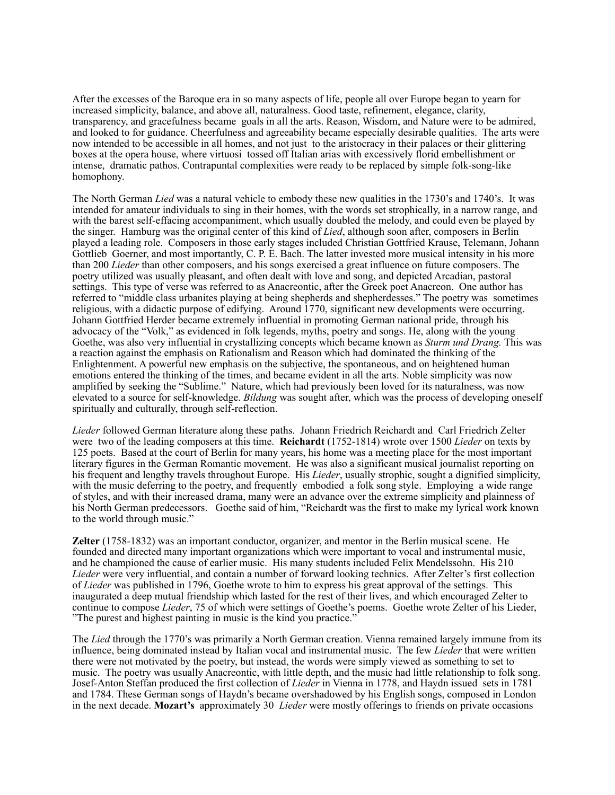After the excesses of the Baroque era in so many aspects of life, people all over Europe began to yearn for increased simplicity, balance, and above all, naturalness. Good taste, refinement, elegance, clarity, transparency, and gracefulness became goals in all the arts. Reason, Wisdom, and Nature were to be admired, and looked to for guidance. Cheerfulness and agreeability became especially desirable qualities. The arts were now intended to be accessible in all homes, and not just to the aristocracy in their palaces or their glittering boxes at the opera house, where virtuosi tossed off Italian arias with excessively florid embellishment or intense, dramatic pathos. Contrapuntal complexities were ready to be replaced by simple folk-song-like homophony.

The North German *Lied* was a natural vehicle to embody these new qualities in the 1730's and 1740's. It was intended for amateur individuals to sing in their homes, with the words set strophically, in a narrow range, and with the barest self-effacing accompaniment, which usually doubled the melody, and could even be played by the singer. Hamburg was the original center of this kind of *Lied*, although soon after, composers in Berlin played a leading role. Composers in those early stages included Christian Gottfried Krause, Telemann, Johann Gottlieb Goerner, and most importantly, C. P. E. Bach. The latter invested more musical intensity in his more than 200 *Lieder* than other composers, and his songs exercised a great influence on future composers. The poetry utilized was usually pleasant, and often dealt with love and song, and depicted Arcadian, pastoral settings. This type of verse was referred to as Anacreontic, after the Greek poet Anacreon. One author has referred to "middle class urbanites playing at being shepherds and shepherdesses." The poetry was sometimes religious, with a didactic purpose of edifying. Around 1770, significant new developments were occurring. Johann Gottfried Herder became extremely influential in promoting German national pride, through his advocacy of the "Volk," as evidenced in folk legends, myths, poetry and songs. He, along with the young Goethe, was also very influential in crystallizing concepts which became known as *Sturm und Drang.* This was a reaction against the emphasis on Rationalism and Reason which had dominated the thinking of the Enlightenment. A powerful new emphasis on the subjective, the spontaneous, and on heightened human emotions entered the thinking of the times, and became evident in all the arts. Noble simplicity was now amplified by seeking the "Sublime." Nature, which had previously been loved for its naturalness, was now elevated to a source for self-knowledge. *Bildung* was sought after, which was the process of developing oneself spiritually and culturally, through self-reflection.

*Lieder* followed German literature along these paths. Johann Friedrich Reichardt and Carl Friedrich Zelter were two of the leading composers at this time. **Reichardt** (1752-1814) wrote over 1500 *Lieder* on texts by 125 poets. Based at the court of Berlin for many years, his home was a meeting place for the most important literary figures in the German Romantic movement. He was also a significant musical journalist reporting on his frequent and lengthy travels throughout Europe. His *Lieder*, usually strophic, sought a dignified simplicity, with the music deferring to the poetry, and frequently embodied a folk song style. Employing a wide range of styles, and with their increased drama, many were an advance over the extreme simplicity and plainness of his North German predecessors. Goethe said of him, "Reichardt was the first to make my lyrical work known to the world through music."

**Zelter** (1758-1832) was an important conductor, organizer, and mentor in the Berlin musical scene. He founded and directed many important organizations which were important to vocal and instrumental music, and he championed the cause of earlier music. His many students included Felix Mendelssohn. His 210 *Lieder* were very influential, and contain a number of forward looking technics. After Zelter's first collection of *Lieder* was published in 1796, Goethe wrote to him to express his great approval of the settings. This inaugurated a deep mutual friendship which lasted for the rest of their lives, and which encouraged Zelter to continue to compose *Lieder*, 75 of which were settings of Goethe's poems. Goethe wrote Zelter of his Lieder, "The purest and highest painting in music is the kind you practice."

The *Lied* through the 1770's was primarily a North German creation. Vienna remained largely immune from its influence, being dominated instead by Italian vocal and instrumental music. The few *Lieder* that were written there were not motivated by the poetry, but instead, the words were simply viewed as something to set to music. The poetry was usually Anacreontic, with little depth, and the music had little relationship to folk song. Josef-Anton Steffan produced the first collection of *Lieder* in Vienna in 1778, and Haydn issued sets in 1781 and 1784. These German songs of Haydn's became overshadowed by his English songs, composed in London in the next decade. **Mozart's** approximately 30 *Lieder* were mostly offerings to friends on private occasions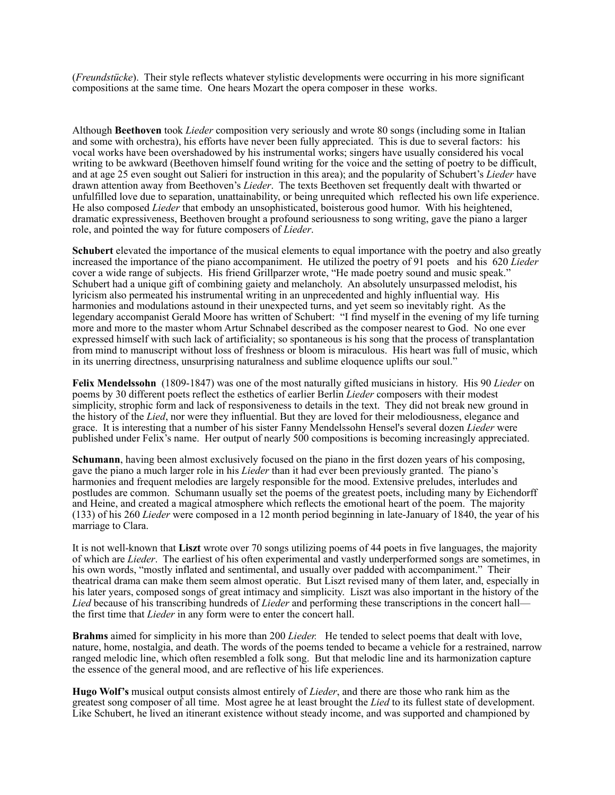(*Freundstücke*). Their style reflects whatever stylistic developments were occurring in his more significant compositions at the same time. One hears Mozart the opera composer in these works.

Although **Beethoven** took *Lieder* composition very seriously and wrote 80 songs (including some in Italian and some with orchestra), his efforts have never been fully appreciated. This is due to several factors: his vocal works have been overshadowed by his instrumental works; singers have usually considered his vocal writing to be awkward (Beethoven himself found writing for the voice and the setting of poetry to be difficult, and at age 25 even sought out Salieri for instruction in this area); and the popularity of Schubert's *Lieder* have drawn attention away from Beethoven's *Lieder*. The texts Beethoven set frequently dealt with thwarted or unfulfilled love due to separation, unattainability, or being unrequited which reflected his own life experience. He also composed *Lieder* that embody an unsophisticated, boisterous good humor. With his heightened, dramatic expressiveness, Beethoven brought a profound seriousness to song writing, gave the piano a larger role, and pointed the way for future composers of *Lieder*.

**Schubert** elevated the importance of the musical elements to equal importance with the poetry and also greatly increased the importance of the piano accompaniment. He utilized the poetry of 91 poets and his 620 *Lieder* cover a wide range of subjects. His friend Grillparzer wrote, "He made poetry sound and music speak." Schubert had a unique gift of combining gaiety and melancholy. An absolutely unsurpassed melodist, his lyricism also permeated his instrumental writing in an unprecedented and highly influential way. His harmonies and modulations astound in their unexpected turns, and yet seem so inevitably right. As the legendary accompanist Gerald Moore has written of Schubert: "I find myself in the evening of my life turning more and more to the master whom Artur Schnabel described as the composer nearest to God. No one ever expressed himself with such lack of artificiality; so spontaneous is his song that the process of transplantation from mind to manuscript without loss of freshness or bloom is miraculous. His heart was full of music, which in its unerring directness, unsurprising naturalness and sublime eloquence uplifts our soul."

**Felix Mendelssohn** (1809-1847) was one of the most naturally gifted musicians in history. His 90 *Lieder* on poems by 30 different poets reflect the esthetics of earlier Berlin *Lieder* composers with their modest simplicity, strophic form and lack of responsiveness to details in the text. They did not break new ground in the history of the *Lied*, nor were they influential. But they are loved for their melodiousness, elegance and grace. It is interesting that a number of his sister Fanny Mendelssohn Hensel's several dozen *Lieder* were published under Felix's name. Her output of nearly 500 compositions is becoming increasingly appreciated.

**Schumann**, having been almost exclusively focused on the piano in the first dozen years of his composing, gave the piano a much larger role in his *Lieder* than it had ever been previously granted. The piano's harmonies and frequent melodies are largely responsible for the mood. Extensive preludes, interludes and postludes are common. Schumann usually set the poems of the greatest poets, including many by Eichendorff and Heine, and created a magical atmosphere which reflects the emotional heart of the poem. The majority (133) of his 260 *Lieder* were composed in a 12 month period beginning in late-January of 1840, the year of his marriage to Clara.

It is not well-known that **Liszt** wrote over 70 songs utilizing poems of 44 poets in five languages, the majority of which are *Lieder*. The earliest of his often experimental and vastly underperformed songs are sometimes, in his own words, "mostly inflated and sentimental, and usually over padded with accompaniment." Their theatrical drama can make them seem almost operatic. But Liszt revised many of them later, and, especially in his later years, composed songs of great intimacy and simplicity. Liszt was also important in the history of the *Lied* because of his transcribing hundreds of *Lieder* and performing these transcriptions in the concert hall the first time that *Lieder* in any form were to enter the concert hall.

**Brahms** aimed for simplicity in his more than 200 *Lieder.* He tended to select poems that dealt with love, nature, home, nostalgia, and death. The words of the poems tended to became a vehicle for a restrained, narrow ranged melodic line, which often resembled a folk song. But that melodic line and its harmonization capture the essence of the general mood, and are reflective of his life experiences.

**Hugo Wolf's** musical output consists almost entirely of *Lieder*, and there are those who rank him as the greatest song composer of all time. Most agree he at least brought the *Lied* to its fullest state of development. Like Schubert, he lived an itinerant existence without steady income, and was supported and championed by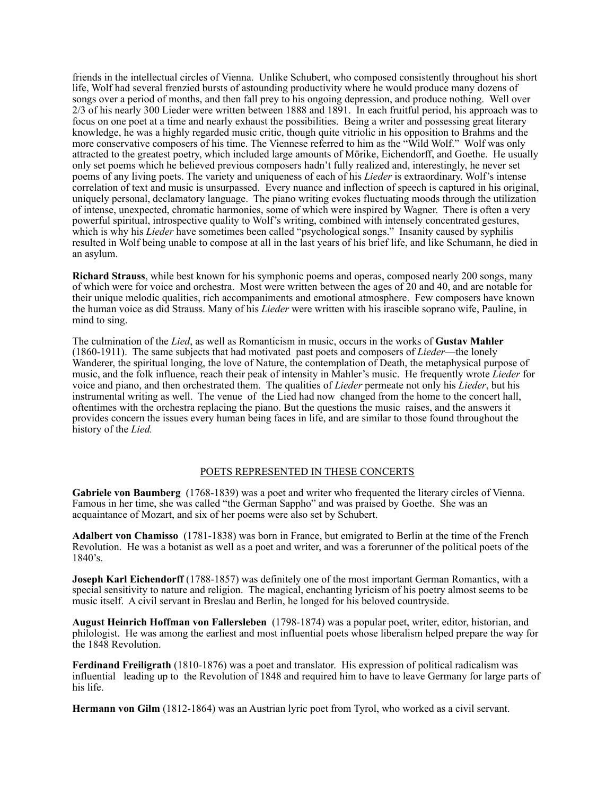friends in the intellectual circles of Vienna. Unlike Schubert, who composed consistently throughout his short life, Wolf had several frenzied bursts of astounding productivity where he would produce many dozens of songs over a period of months, and then fall prey to his ongoing depression, and produce nothing. Well over 2/3 of his nearly 300 Lieder were written between 1888 and 1891. In each fruitful period, his approach was to focus on one poet at a time and nearly exhaust the possibilities. Being a writer and possessing great literary knowledge, he was a highly regarded music critic, though quite vitriolic in his opposition to Brahms and the more conservative composers of his time. The Viennese referred to him as the "Wild Wolf." Wolf was only attracted to the greatest poetry, which included large amounts of Mörike, Eichendorff, and Goethe. He usually only set poems which he believed previous composers hadn't fully realized and, interestingly, he never set poems of any living poets. The variety and uniqueness of each of his *Lieder* is extraordinary. Wolf's intense correlation of text and music is unsurpassed. Every nuance and inflection of speech is captured in his original, uniquely personal, declamatory language. The piano writing evokes fluctuating moods through the utilization of intense, unexpected, chromatic harmonies, some of which were inspired by Wagner. There is often a very powerful spiritual, introspective quality to Wolf's writing, combined with intensely concentrated gestures, which is why his *Lieder* have sometimes been called "psychological songs." Insanity caused by syphilis resulted in Wolf being unable to compose at all in the last years of his brief life, and like Schumann, he died in an asylum.

**Richard Strauss**, while best known for his symphonic poems and operas, composed nearly 200 songs, many of which were for voice and orchestra. Most were written between the ages of 20 and 40, and are notable for their unique melodic qualities, rich accompaniments and emotional atmosphere. Few composers have known the human voice as did Strauss. Many of his *Lieder* were written with his irascible soprano wife, Pauline, in mind to sing.

The culmination of the *Lied*, as well as Romanticism in music, occurs in the works of **Gustav Mahler** (1860-1911). The same subjects that had motivated past poets and composers of *Lieder*—the lonely Wanderer, the spiritual longing, the love of Nature, the contemplation of Death, the metaphysical purpose of music, and the folk influence, reach their peak of intensity in Mahler's music. He frequently wrote *Lieder* for voice and piano, and then orchestrated them. The qualities of *Lieder* permeate not only his *Lieder*, but his instrumental writing as well. The venue of the Lied had now changed from the home to the concert hall, oftentimes with the orchestra replacing the piano. But the questions the music raises, and the answers it provides concern the issues every human being faces in life, and are similar to those found throughout the history of the *Lied.* 

## POETS REPRESENTED IN THESE CONCERTS

**Gabriele von Baumberg** (1768-1839) was a poet and writer who frequented the literary circles of Vienna. Famous in her time, she was called "the German Sappho" and was praised by Goethe. She was an acquaintance of Mozart, and six of her poems were also set by Schubert.

**Adalbert von Chamisso** (1781-1838) was born in France, but emigrated to Berlin at the time of the French Revolution. He was a botanist as well as a poet and writer, and was a forerunner of the political poets of the 1840's.

**Joseph Karl Eichendorff** (1788-1857) was definitely one of the most important German Romantics, with a special sensitivity to nature and religion. The magical, enchanting lyricism of his poetry almost seems to be music itself. A civil servant in Breslau and Berlin, he longed for his beloved countryside.

**August Heinrich Hoffman von Fallersleben** (1798-1874) was a popular poet, writer, editor, historian, and philologist. He was among the earliest and most influential poets whose liberalism helped prepare the way for the 1848 Revolution.

**Ferdinand Freiligrath** (1810-1876) was a poet and translator. His expression of political radicalism was influential leading up to the Revolution of 1848 and required him to have to leave Germany for large parts of his life.

**Hermann von Gilm** (1812-1864) was an Austrian lyric poet from Tyrol, who worked as a civil servant.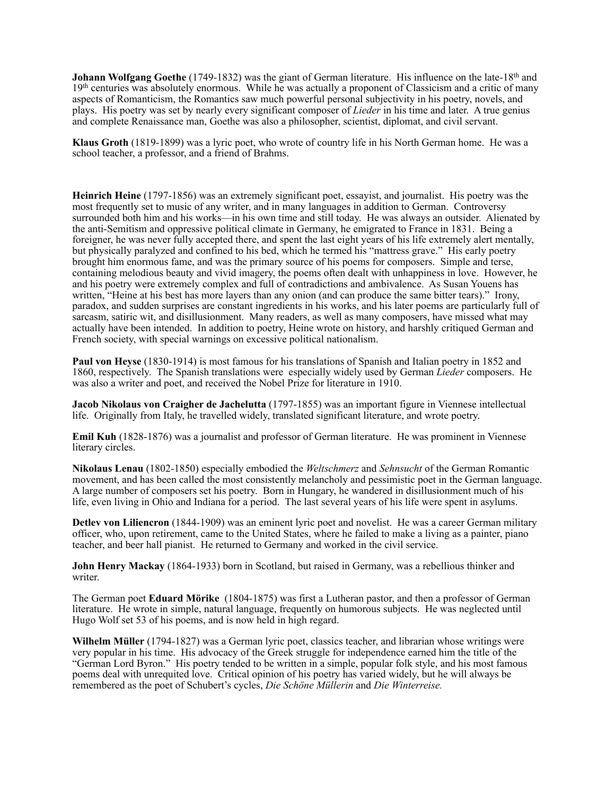**Johann Wolfgang Goethe** (1749-1832) was the giant of German literature. His influence on the late-18<sup>th</sup> and 19th centuries was absolutely enormous. While he was actually a proponent of Classicism and a critic of many aspects of Romanticism, the Romantics saw much powerful personal subjectivity in his poetry, novels, and plays. His poetry was set by nearly every significant composer of *Lieder* in his time and later. A true genius and complete Renaissance man, Goethe was also a philosopher, scientist, diplomat, and civil servant.

**Klaus Groth** (1819-1899) was a lyric poet, who wrote of country life in his North German home. He was a school teacher, a professor, and a friend of Brahms.

**Heinrich Heine** (1797-1856) was an extremely significant poet, essayist, and journalist. His poetry was the most frequently set to music of any writer, and in many languages in addition to German. Controversy surrounded both him and his works—in his own time and still today. He was always an outsider. Alienated by the anti-Semitism and oppressive political climate in Germany, he emigrated to France in 1831. Being a foreigner, he was never fully accepted there, and spent the last eight years of his life extremely alert mentally, but physically paralyzed and confined to his bed, which he termed his "mattress grave." His early poetry brought him enormous fame, and was the primary source of his poems for composers. Simple and terse, containing melodious beauty and vivid imagery, the poems often dealt with unhappiness in love. However, he and his poetry were extremely complex and full of contradictions and ambivalence. As Susan Youens has written, "Heine at his best has more layers than any onion (and can produce the same bitter tears)." Irony, paradox, and sudden surprises are constant ingredients in his works, and his later poems are particularly full of sarcasm, satiric wit, and disillusionment. Many readers, as well as many composers, have missed what may actually have been intended. In addition to poetry, Heine wrote on history, and harshly critiqued German and French society, with special warnings on excessive political nationalism.

**Paul von Heyse** (1830-1914) is most famous for his translations of Spanish and Italian poetry in 1852 and 1860, respectively. The Spanish translations were especially widely used by German *Lieder* composers. He was also a writer and poet, and received the Nobel Prize for literature in 1910.

**Jacob Nikolaus von Craigher de Jachelutta** (1797-1855) was an important figure in Viennese intellectual life. Originally from Italy, he travelled widely, translated significant literature, and wrote poetry.

**Emil Kuh** (1828-1876) was a journalist and professor of German literature. He was prominent in Viennese literary circles.

**Nikolaus Lenau** (1802-1850) especially embodied the *Weltschmerz* and *Sehnsucht* of the German Romantic movement, and has been called the most consistently melancholy and pessimistic poet in the German language. A large number of composers set his poetry. Born in Hungary, he wandered in disillusionment much of his life, even living in Ohio and Indiana for a period. The last several years of his life were spent in asylums.

**Detlev von Liliencron** (1844-1909) was an eminent lyric poet and novelist. He was a career German military officer, who, upon retirement, came to the United States, where he failed to make a living as a painter, piano teacher, and beer hall pianist. He returned to Germany and worked in the civil service.

**John Henry Mackay** (1864-1933) born in Scotland, but raised in Germany, was a rebellious thinker and writer.

The German poet **Eduard Mörike** (1804-1875) was first a Lutheran pastor, and then a professor of German literature. He wrote in simple, natural language, frequently on humorous subjects. He was neglected until Hugo Wolf set 53 of his poems, and is now held in high regard.

**Wilhelm Müller** (1794-1827) was a German lyric poet, classics teacher, and librarian whose writings were very popular in his time. His advocacy of the Greek struggle for independence earned him the title of the "German Lord Byron." His poetry tended to be written in a simple, popular folk style, and his most famous poems deal with unrequited love. Critical opinion of his poetry has varied widely, but he will always be remembered as the poet of Schubert's cycles, *Die Schöne Müllerin* and *Die Winterreise.*